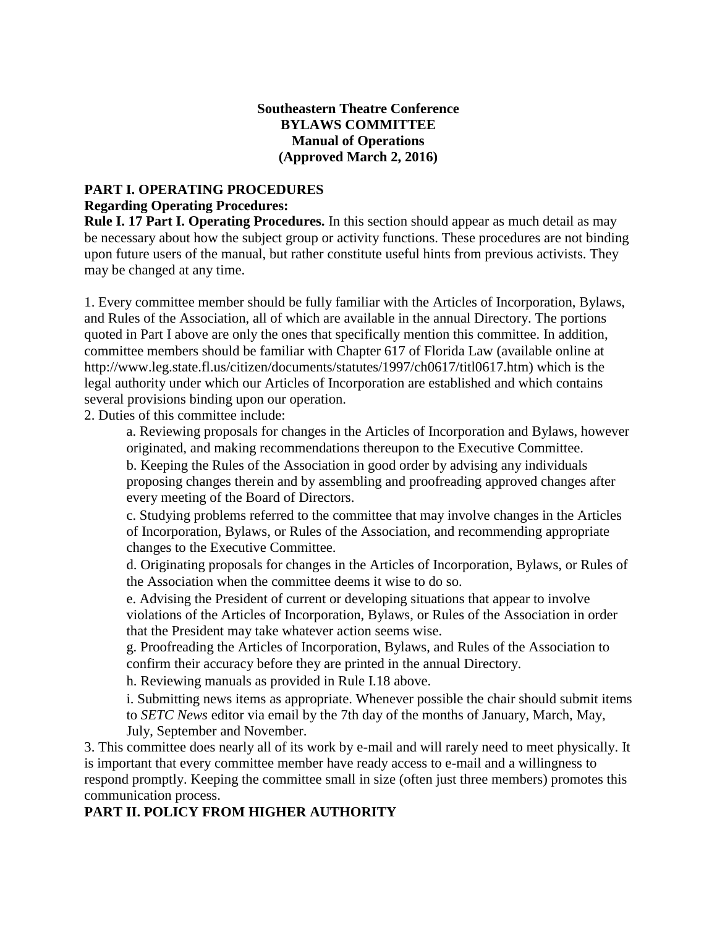## **Southeastern Theatre Conference BYLAWS COMMITTEE Manual of Operations (Approved March 2, 2016)**

# **PART I. OPERATING PROCEDURES Regarding Operating Procedures:**

**Rule I. 17 Part I. Operating Procedures.** In this section should appear as much detail as may be necessary about how the subject group or activity functions. These procedures are not binding upon future users of the manual, but rather constitute useful hints from previous activists. They may be changed at any time.

1. Every committee member should be fully familiar with the Articles of Incorporation, Bylaws, and Rules of the Association, all of which are available in the annual Directory. The portions quoted in Part I above are only the ones that specifically mention this committee. In addition, committee members should be familiar with Chapter 617 of Florida Law (available online at http://www.leg.state.fl.us/citizen/documents/statutes/1997/ch0617/titl0617.htm) which is the legal authority under which our Articles of Incorporation are established and which contains several provisions binding upon our operation.

2. Duties of this committee include:

a. Reviewing proposals for changes in the Articles of Incorporation and Bylaws, however originated, and making recommendations thereupon to the Executive Committee.

b. Keeping the Rules of the Association in good order by advising any individuals proposing changes therein and by assembling and proofreading approved changes after every meeting of the Board of Directors.

c. Studying problems referred to the committee that may involve changes in the Articles of Incorporation, Bylaws, or Rules of the Association, and recommending appropriate changes to the Executive Committee.

d. Originating proposals for changes in the Articles of Incorporation, Bylaws, or Rules of the Association when the committee deems it wise to do so.

e. Advising the President of current or developing situations that appear to involve violations of the Articles of Incorporation, Bylaws, or Rules of the Association in order that the President may take whatever action seems wise.

g. Proofreading the Articles of Incorporation, Bylaws, and Rules of the Association to confirm their accuracy before they are printed in the annual Directory.

h. Reviewing manuals as provided in Rule I.18 above.

i. Submitting news items as appropriate. Whenever possible the chair should submit items to *SETC News* editor via email by the 7th day of the months of January, March, May, July, September and November.

3. This committee does nearly all of its work by e-mail and will rarely need to meet physically. It is important that every committee member have ready access to e-mail and a willingness to respond promptly. Keeping the committee small in size (often just three members) promotes this communication process.

# **PART II. POLICY FROM HIGHER AUTHORITY**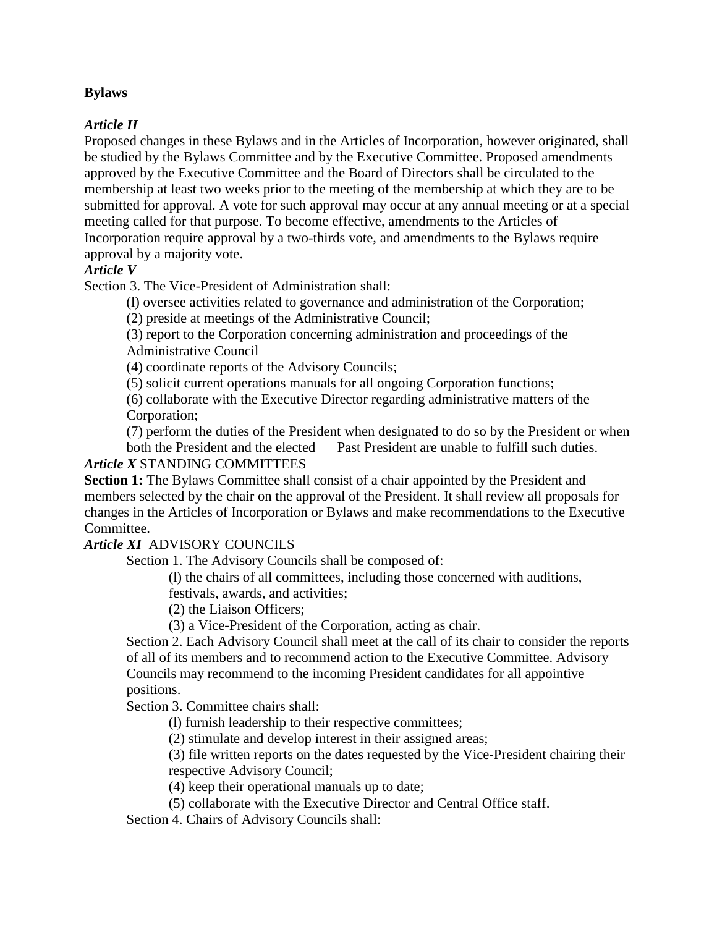## **Bylaws**

## *Article II*

Proposed changes in these Bylaws and in the Articles of Incorporation, however originated, shall be studied by the Bylaws Committee and by the Executive Committee. Proposed amendments approved by the Executive Committee and the Board of Directors shall be circulated to the membership at least two weeks prior to the meeting of the membership at which they are to be submitted for approval. A vote for such approval may occur at any annual meeting or at a special meeting called for that purpose. To become effective, amendments to the Articles of Incorporation require approval by a two-thirds vote, and amendments to the Bylaws require approval by a majority vote.

## *Article V*

Section 3. The Vice-President of Administration shall:

(l) oversee activities related to governance and administration of the Corporation;

(2) preside at meetings of the Administrative Council;

(3) report to the Corporation concerning administration and proceedings of the Administrative Council

(4) coordinate reports of the Advisory Councils;

(5) solicit current operations manuals for all ongoing Corporation functions;

(6) collaborate with the Executive Director regarding administrative matters of the Corporation;

(7) perform the duties of the President when designated to do so by the President or when both the President and the elected Past President are unable to fulfill such duties.

#### *Article X* STANDING COMMITTEES

Section 1: The Bylaws Committee shall consist of a chair appointed by the President and members selected by the chair on the approval of the President. It shall review all proposals for changes in the Articles of Incorporation or Bylaws and make recommendations to the Executive Committee.

#### *Article XI* ADVISORY COUNCILS

Section 1. The Advisory Councils shall be composed of:

(l) the chairs of all committees, including those concerned with auditions,

festivals, awards, and activities;

(2) the Liaison Officers;

(3) a Vice-President of the Corporation, acting as chair.

Section 2. Each Advisory Council shall meet at the call of its chair to consider the reports of all of its members and to recommend action to the Executive Committee. Advisory Councils may recommend to the incoming President candidates for all appointive positions.

Section 3. Committee chairs shall:

(l) furnish leadership to their respective committees;

(2) stimulate and develop interest in their assigned areas;

(3) file written reports on the dates requested by the Vice-President chairing their respective Advisory Council;

(4) keep their operational manuals up to date;

(5) collaborate with the Executive Director and Central Office staff.

Section 4. Chairs of Advisory Councils shall: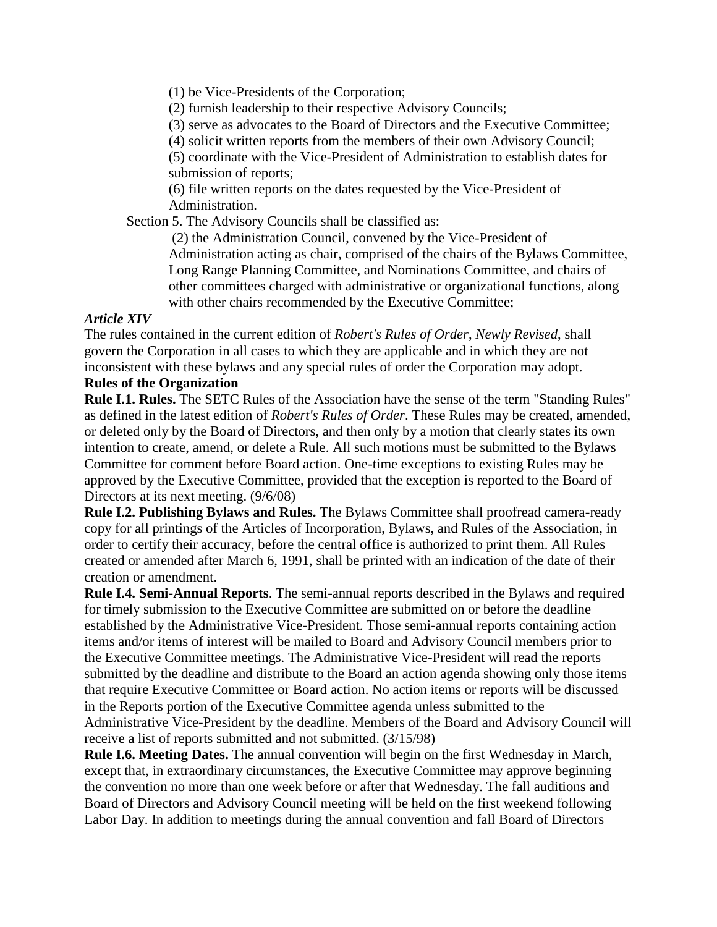(1) be Vice-Presidents of the Corporation;

(2) furnish leadership to their respective Advisory Councils;

(3) serve as advocates to the Board of Directors and the Executive Committee;

(4) solicit written reports from the members of their own Advisory Council;

(5) coordinate with the Vice-President of Administration to establish dates for submission of reports;

(6) file written reports on the dates requested by the Vice-President of Administration.

Section 5. The Advisory Councils shall be classified as:

(2) the Administration Council, convened by the Vice-President of Administration acting as chair, comprised of the chairs of the Bylaws Committee, Long Range Planning Committee, and Nominations Committee, and chairs of other committees charged with administrative or organizational functions, along with other chairs recommended by the Executive Committee;

# *Article XIV*

The rules contained in the current edition of *Robert's Rules of Order*, *Newly Revised*, shall govern the Corporation in all cases to which they are applicable and in which they are not inconsistent with these bylaws and any special rules of order the Corporation may adopt.

# **Rules of the Organization**

**Rule I.1. Rules.** The SETC Rules of the Association have the sense of the term "Standing Rules" as defined in the latest edition of *Robert's Rules of Order*. These Rules may be created, amended, or deleted only by the Board of Directors, and then only by a motion that clearly states its own intention to create, amend, or delete a Rule. All such motions must be submitted to the Bylaws Committee for comment before Board action. One-time exceptions to existing Rules may be approved by the Executive Committee, provided that the exception is reported to the Board of Directors at its next meeting. (9/6/08)

**Rule I.2. Publishing Bylaws and Rules.** The Bylaws Committee shall proofread camera-ready copy for all printings of the Articles of Incorporation, Bylaws, and Rules of the Association, in order to certify their accuracy, before the central office is authorized to print them. All Rules created or amended after March 6, 1991, shall be printed with an indication of the date of their creation or amendment.

**Rule I.4. Semi-Annual Reports**. The semi-annual reports described in the Bylaws and required for timely submission to the Executive Committee are submitted on or before the deadline established by the Administrative Vice-President. Those semi-annual reports containing action items and/or items of interest will be mailed to Board and Advisory Council members prior to the Executive Committee meetings. The Administrative Vice-President will read the reports submitted by the deadline and distribute to the Board an action agenda showing only those items that require Executive Committee or Board action. No action items or reports will be discussed in the Reports portion of the Executive Committee agenda unless submitted to the Administrative Vice-President by the deadline. Members of the Board and Advisory Council will receive a list of reports submitted and not submitted. (3/15/98)

**Rule I.6. Meeting Dates.** The annual convention will begin on the first Wednesday in March, except that, in extraordinary circumstances, the Executive Committee may approve beginning the convention no more than one week before or after that Wednesday. The fall auditions and Board of Directors and Advisory Council meeting will be held on the first weekend following Labor Day. In addition to meetings during the annual convention and fall Board of Directors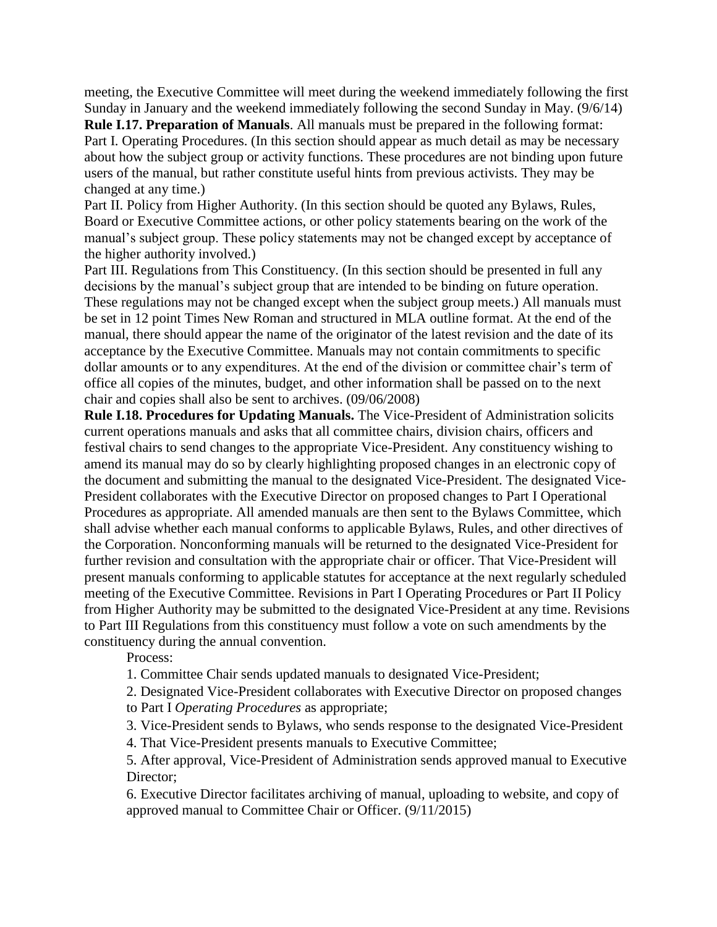meeting, the Executive Committee will meet during the weekend immediately following the first Sunday in January and the weekend immediately following the second Sunday in May. (9/6/14)

**Rule I.17. Preparation of Manuals**. All manuals must be prepared in the following format: Part I. Operating Procedures. (In this section should appear as much detail as may be necessary about how the subject group or activity functions. These procedures are not binding upon future users of the manual, but rather constitute useful hints from previous activists. They may be changed at any time.)

Part II. Policy from Higher Authority. (In this section should be quoted any Bylaws, Rules, Board or Executive Committee actions, or other policy statements bearing on the work of the manual's subject group. These policy statements may not be changed except by acceptance of the higher authority involved.)

Part III. Regulations from This Constituency. (In this section should be presented in full any decisions by the manual's subject group that are intended to be binding on future operation. These regulations may not be changed except when the subject group meets.) All manuals must be set in 12 point Times New Roman and structured in MLA outline format. At the end of the manual, there should appear the name of the originator of the latest revision and the date of its acceptance by the Executive Committee. Manuals may not contain commitments to specific dollar amounts or to any expenditures. At the end of the division or committee chair's term of office all copies of the minutes, budget, and other information shall be passed on to the next chair and copies shall also be sent to archives. (09/06/2008)

**Rule I.18. Procedures for Updating Manuals.** The Vice-President of Administration solicits current operations manuals and asks that all committee chairs, division chairs, officers and festival chairs to send changes to the appropriate Vice-President. Any constituency wishing to amend its manual may do so by clearly highlighting proposed changes in an electronic copy of the document and submitting the manual to the designated Vice-President. The designated Vice-President collaborates with the Executive Director on proposed changes to Part I Operational Procedures as appropriate. All amended manuals are then sent to the Bylaws Committee, which shall advise whether each manual conforms to applicable Bylaws, Rules, and other directives of the Corporation. Nonconforming manuals will be returned to the designated Vice-President for further revision and consultation with the appropriate chair or officer. That Vice-President will present manuals conforming to applicable statutes for acceptance at the next regularly scheduled meeting of the Executive Committee. Revisions in Part I Operating Procedures or Part II Policy from Higher Authority may be submitted to the designated Vice-President at any time. Revisions to Part III Regulations from this constituency must follow a vote on such amendments by the constituency during the annual convention.

Process:

1. Committee Chair sends updated manuals to designated Vice-President;

2. Designated Vice-President collaborates with Executive Director on proposed changes

to Part I *Operating Procedures* as appropriate;

3. Vice-President sends to Bylaws, who sends response to the designated Vice-President

4. That Vice-President presents manuals to Executive Committee;

5. After approval, Vice-President of Administration sends approved manual to Executive Director:

6. Executive Director facilitates archiving of manual, uploading to website, and copy of approved manual to Committee Chair or Officer. (9/11/2015)